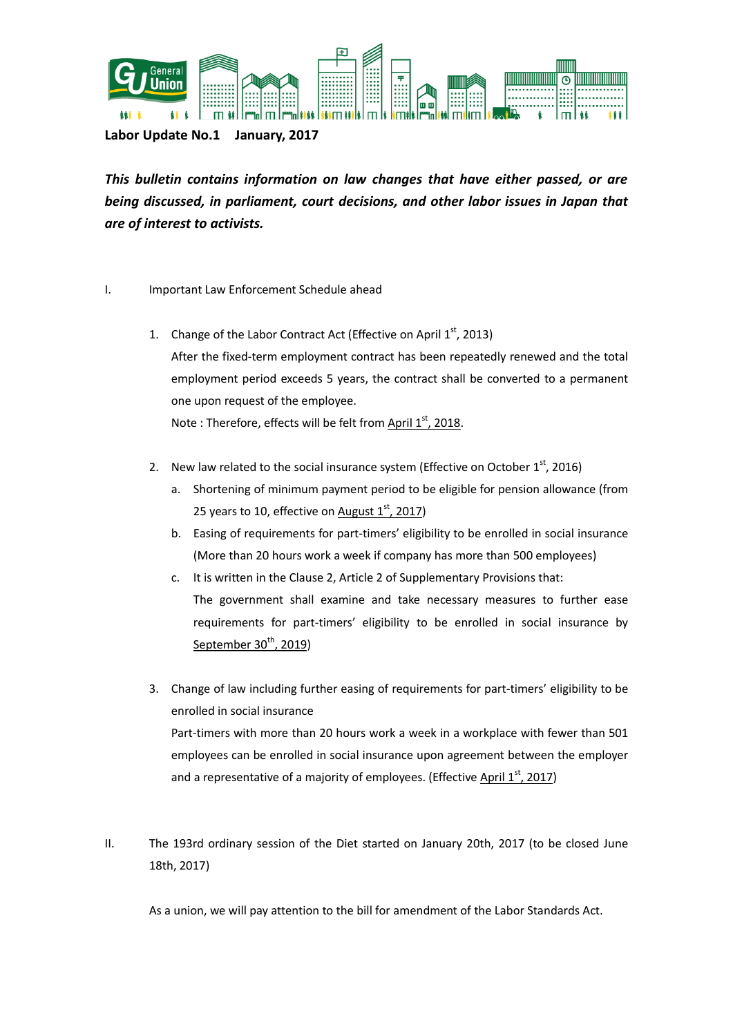

**Labor Update No.1 January, 2017**

*This bulletin contains information on law changes that have either passed, or are being discussed, in parliament, court decisions, and other labor issues in Japan that are of interest to activists.* 

## I. Important Law Enforcement Schedule ahead

1. Change of the Labor Contract Act (Effective on April  $1<sup>st</sup>$ , 2013) After the fixed-term employment contract has been repeatedly renewed and the total employment period exceeds 5 years, the contract shall be converted to a permanent one upon request of the employee. Note : Therefore, effects will be felt from  $\Delta \text{pril } 1^{st}$ , 2018.

2. New law related to the social insurance system (Effective on October  $1<sup>st</sup>$ , 2016)

- a. Shortening of minimum payment period to be eligible for pension allowance (from 25 years to 10, effective on August  $1<sup>st</sup>$ , 2017)
- b. Easing of requirements for part-timers' eligibility to be enrolled in social insurance (More than 20 hours work a week if company has more than 500 employees)
- c. It is written in the Clause 2, Article 2 of Supplementary Provisions that: The government shall examine and take necessary measures to further ease requirements for part-timers' eligibility to be enrolled in social insurance by September  $30<sup>th</sup>$ , 2019)
- 3. Change of law including further easing of requirements for part-timers' eligibility to be enrolled in social insurance Part-timers with more than 20 hours work a week in a workplace with fewer than 501 employees can be enrolled in social insurance upon agreement between the employer and a representative of a majority of employees. (Effective April  $1<sup>st</sup>$ , 2017)
- II. The 193rd ordinary session of the Diet started on January 20th, 2017 (to be closed June 18th, 2017)

As a union, we will pay attention to the bill for amendment of the Labor Standards Act.